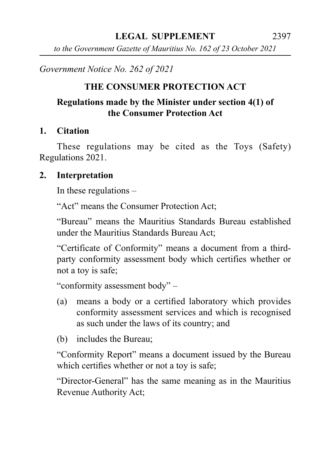*to the Government Gazette of Mauritius No. 162 of 23 October 2021*

*Government Notice No. 262 of 2021*

## **THE CONSUMER PROTECTION ACT**

### **Regulations made by the Minister under section 4(1) of the Consumer Protection Act**

### **1. Citation**

These regulations may be cited as the Toys (Safety) Regulations 2021.

#### **2. Interpretation**

In these regulations –

"Act" means the Consumer Protection Act;

"Bureau" means the Mauritius Standards Bureau established under the Mauritius Standards Bureau Act;

"Certificate of Conformity" means a document from a thirdparty conformity assessment body which certifies whether or not a toy is safe;

"conformity assessment body" –

- (a) means a body or a certified laboratory which provides conformity assessment services and which is recognised as such under the laws of its country; and
- (b) includes the Bureau;

"Conformity Report" means a document issued by the Bureau which certifies whether or not a toy is safe;

"Director-General" has the same meaning as in the Mauritius Revenue Authority Act;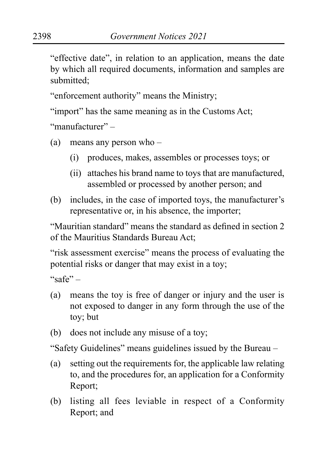"effective date", in relation to an application, means the date by which all required documents, information and samples are submitted;

"enforcement authority" means the Ministry;

"import" has the same meaning as in the Customs Act;

"manufacturer" –

- (a) means any person who
	- (i) produces, makes, assembles or processes toys; or
	- (ii) attaches his brand name to toys that are manufactured, assembled or processed by another person; and
- (b) includes, in the case of imported toys, the manufacturer's representative or, in his absence, the importer;

"Mauritian standard" means the standard as defined in section 2 of the Mauritius Standards Bureau Act;

"risk assessment exercise" means the process of evaluating the potential risks or danger that may exist in a toy;

 $``\text{safe}"$ 

- (a) means the toy is free of danger or injury and the user is not exposed to danger in any form through the use of the toy; but
- (b) does not include any misuse of a toy;

"Safety Guidelines" means guidelines issued by the Bureau –

- (a) setting out the requirements for, the applicable law relating to, and the procedures for, an application for a Conformity Report;
- (b) listing all fees leviable in respect of a Conformity Report; and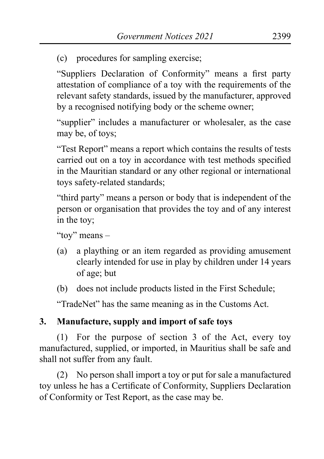(c) procedures for sampling exercise;

"Suppliers Declaration of Conformity" means a first party attestation of compliance of a toy with the requirements of the relevant safety standards, issued by the manufacturer, approved by a recognised notifying body or the scheme owner;

"supplier" includes a manufacturer or wholesaler, as the case may be, of toys;

"Test Report" means a report which contains the results of tests carried out on a toy in accordance with test methods specified in the Mauritian standard or any other regional or international toys safety-related standards;

"third party" means a person or body that is independent of the person or organisation that provides the toy and of any interest in the toy;

"toy" means –

- (a) a plaything or an item regarded as providing amusement clearly intended for use in play by children under 14 years of age; but
- (b) does not include products listed in the First Schedule;

"TradeNet" has the same meaning as in the Customs Act.

# **3. Manufacture, supply and import of safe toys**

(1) For the purpose of section 3 of the Act, every toy manufactured, supplied, or imported, in Mauritius shall be safe and shall not suffer from any fault.

(2) No person shall import a toy or put for sale a manufactured toy unless he has a Certificate of Conformity, Suppliers Declaration of Conformity or Test Report, as the case may be.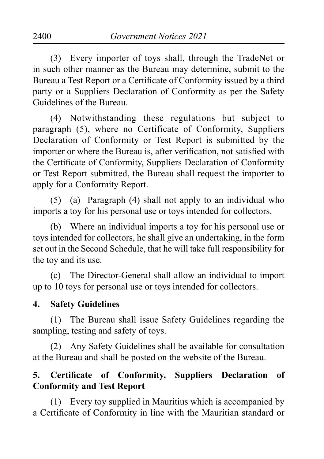(3) Every importer of toys shall, through the TradeNet or in such other manner as the Bureau may determine, submit to the Bureau a Test Report or a Certificate of Conformity issued by a third party or a Suppliers Declaration of Conformity as per the Safety Guidelines of the Bureau.

(4) Notwithstanding these regulations but subject to paragraph (5), where no Certificate of Conformity, Suppliers Declaration of Conformity or Test Report is submitted by the importer or where the Bureau is, after verification, not satisfied with the Certificate of Conformity, Suppliers Declaration of Conformity or Test Report submitted, the Bureau shall request the importer to apply for a Conformity Report.

(5) (a) Paragraph  $(4)$  shall not apply to an individual who imports a toy for his personal use or toys intended for collectors.

(b) Where an individual imports a toy for his personal use or toys intended for collectors, he shall give an undertaking, in the form set out in the Second Schedule, that he will take full responsibility for the toy and its use.

(c) The Director-General shall allow an individual to import up to 10 toys for personal use or toys intended for collectors.

#### **4. Safety Guidelines**

(1) The Bureau shall issue Safety Guidelines regarding the sampling, testing and safety of toys.

(2) Any Safety Guidelines shall be available for consultation at the Bureau and shall be posted on the website of the Bureau.

### **5. Certificate of Conformity, Suppliers Declaration of Conformity and Test Report**

(1) Every toy supplied in Mauritius which is accompanied by a Certificate of Conformity in line with the Mauritian standard or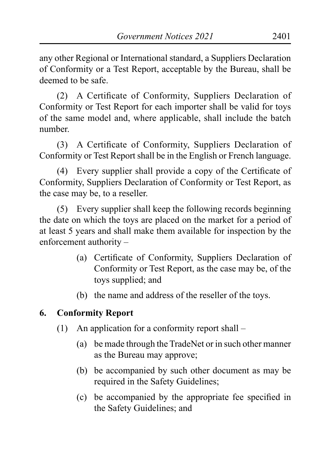any other Regional or International standard, a Suppliers Declaration of Conformity or a Test Report, acceptable by the Bureau, shall be deemed to be safe.

(2) A Certificate of Conformity, Suppliers Declaration of Conformity or Test Report for each importer shall be valid for toys of the same model and, where applicable, shall include the batch number.

(3) A Certificate of Conformity, Suppliers Declaration of Conformity or Test Report shall be in the English or French language.

(4) Every supplier shall provide a copy of the Certificate of Conformity, Suppliers Declaration of Conformity or Test Report, as the case may be, to a reseller.

(5) Every supplier shall keep the following records beginning the date on which the toys are placed on the market for a period of at least 5 years and shall make them available for inspection by the enforcement authority –

- (a) Certificate of Conformity, Suppliers Declaration of Conformity or Test Report, as the case may be, of the toys supplied; and
- (b) the name and address of the reseller of the toys.

### **6. Conformity Report**

- (1) An application for a conformity report shall
	- (a) be made through the TradeNet or in such other manner as the Bureau may approve;
	- (b) be accompanied by such other document as may be required in the Safety Guidelines;
	- (c) be accompanied by the appropriate fee specified in the Safety Guidelines; and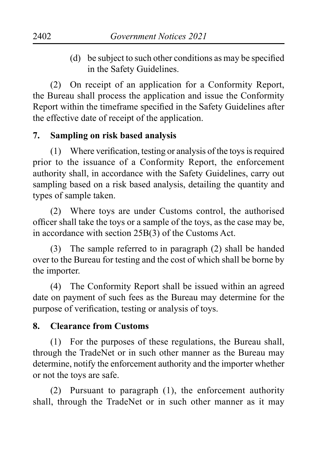(d) be subject to such other conditions as may be specified in the Safety Guidelines.

(2) On receipt of an application for a Conformity Report, the Bureau shall process the application and issue the Conformity Report within the timeframe specified in the Safety Guidelines after the effective date of receipt of the application.

### **7. Sampling on risk based analysis**

 $(1)$  Where verification, testing or analysis of the toys is required prior to the issuance of a Conformity Report, the enforcement authority shall, in accordance with the Safety Guidelines, carry out sampling based on a risk based analysis, detailing the quantity and types of sample taken.

(2) Where toys are under Customs control, the authorised officer shall take the toys or a sample of the toys, as the case may be, in accordance with section 25B(3) of the Customs Act.

(3) The sample referred to in paragraph (2) shall be handed over to the Bureau for testing and the cost of which shall be borne by the importer.

(4) The Conformity Report shall be issued within an agreed date on payment of such fees as the Bureau may determine for the purpose of verification, testing or analysis of toys.

#### **8. Clearance from Customs**

(1) For the purposes of these regulations, the Bureau shall, through the TradeNet or in such other manner as the Bureau may determine, notify the enforcement authority and the importer whether or not the toys are safe.

(2) Pursuant to paragraph  $(1)$ , the enforcement authority shall, through the TradeNet or in such other manner as it may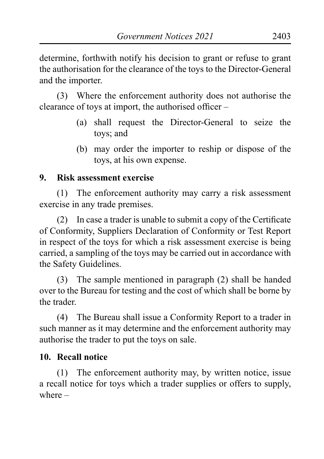determine, forthwith notify his decision to grant or refuse to grant the authorisation for the clearance of the toys to the Director-General and the importer.

(3) Where the enforcement authority does not authorise the clearance of toys at import, the authorised officer –

- (a) shall request the Director-General to seize the toys; and
- (b) may order the importer to reship or dispose of the toys, at his own expense.

### **9. Risk assessment exercise**

(1) The enforcement authority may carry a risk assessment exercise in any trade premises.

(2) In case a trader is unable to submit a copy of the Certificate of Conformity, Suppliers Declaration of Conformity or Test Report in respect of the toys for which a risk assessment exercise is being carried, a sampling of the toys may be carried out in accordance with the Safety Guidelines.

(3) The sample mentioned in paragraph (2) shall be handed over to the Bureau for testing and the cost of which shall be borne by the trader.

(4) The Bureau shall issue a Conformity Report to a trader in such manner as it may determine and the enforcement authority may authorise the trader to put the toys on sale.

# **10. Recall notice**

(1) The enforcement authority may, by written notice, issue a recall notice for toys which a trader supplies or offers to supply, where –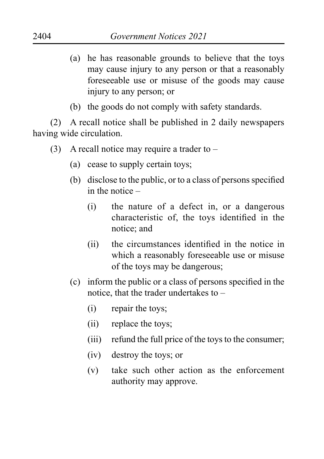- (a) he has reasonable grounds to believe that the toys may cause injury to any person or that a reasonably foreseeable use or misuse of the goods may cause injury to any person; or
- (b) the goods do not comply with safety standards.

(2) A recall notice shall be published in 2 daily newspapers having wide circulation.

- (3) A recall notice may require a trader to  $-$ 
	- (a) cease to supply certain toys;
	- (b) disclose to the public, or to a class of persons specified in the notice –
		- (i) the nature of a defect in, or a dangerous characteristic of, the toys identified in the notice; and
		- (ii) the circumstances identified in the notice in which a reasonably foreseeable use or misuse of the toys may be dangerous;
	- (c) inform the public or a class of persons specified in the notice, that the trader undertakes to –
		- (i) repair the toys;
		- (ii) replace the toys;
		- (iii) refund the full price of the toys to the consumer;
		- (iv) destroy the toys; or
		- (v) take such other action as the enforcement authority may approve.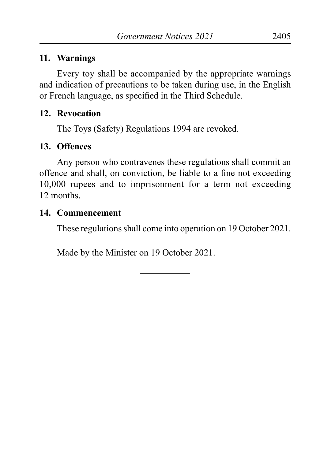#### **11. Warnings**

Every toy shall be accompanied by the appropriate warnings and indication of precautions to be taken during use, in the English or French language, as specified in the Third Schedule.

### **12. Revocation**

The Toys (Safety) Regulations 1994 are revoked.

### **13. Offences**

Any person who contravenes these regulations shall commit an offence and shall, on conviction, be liable to a fine not exceeding 10,000 rupees and to imprisonment for a term not exceeding 12 months.

### **14. Commencement**

These regulations shall come into operation on 19 October 2021.

Made by the Minister on 19 October 2021.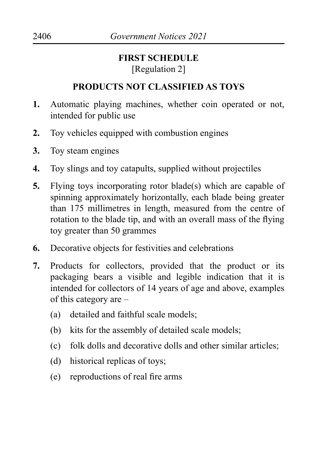# **FIRST SCHEDULE** [Regulation 2]

# **PRODUCTS NOT CLASSIFIED AS TOYS**

- **1.** Automatic playing machines, whether coin operated or not, intended for public use
- **2.** Toy vehicles equipped with combustion engines
- **3.** Toy steam engines
- **4.** Toy slings and toy catapults, supplied without projectiles
- **5.** Flying toys incorporating rotor blade(s) which are capable of spinning approximately horizontally, each blade being greater than 175 millimetres in length, measured from the centre of rotation to the blade tip, and with an overall mass of the flying toy greater than 50 grammes
- **6.** Decorative objects for festivities and celebrations
- **7.** Products for collectors, provided that the product or its packaging bears a visible and legible indication that it is intended for collectors of 14 years of age and above, examples of this category are –
	- (a) detailed and faithful scale models;
	- (b) kits for the assembly of detailed scale models;
	- (c) folk dolls and decorative dolls and other similar articles;
	- (d) historical replicas of toys;
	- (e) reproductions of real fire arms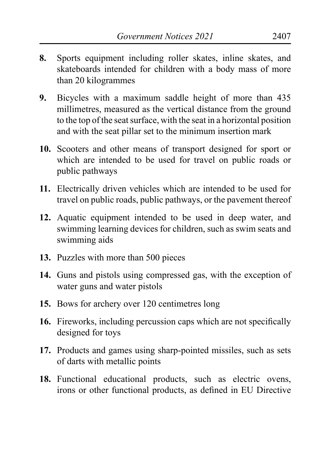- **8.** Sports equipment including roller skates, inline skates, and skateboards intended for children with a body mass of more than 20 kilogrammes
- **9.** Bicycles with a maximum saddle height of more than 435 millimetres, measured as the vertical distance from the ground to the top of the seat surface, with the seat in a horizontal position and with the seat pillar set to the minimum insertion mark
- **10.** Scooters and other means of transport designed for sport or which are intended to be used for travel on public roads or public pathways
- **11.** Electrically driven vehicles which are intended to be used for travel on public roads, public pathways, or the pavement thereof
- **12.** Aquatic equipment intended to be used in deep water, and swimming learning devices for children, such as swim seats and swimming aids
- **13.** Puzzles with more than 500 pieces
- **14.** Guns and pistols using compressed gas, with the exception of water guns and water pistols
- **15.** Bows for archery over 120 centimetres long
- **16.** Fireworks, including percussion caps which are not specifically designed for toys
- **17.** Products and games using sharp-pointed missiles, such as sets of darts with metallic points
- **18.** Functional educational products, such as electric ovens, irons or other functional products, as defined in EU Directive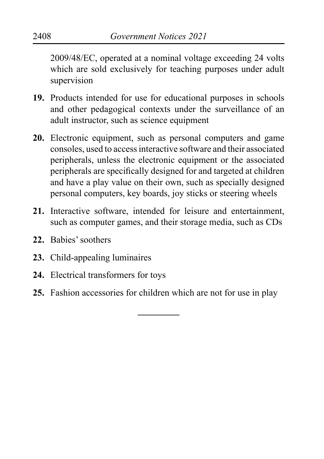2009/48/EC, operated at a nominal voltage exceeding 24 volts which are sold exclusively for teaching purposes under adult supervision

- **19.** Products intended for use for educational purposes in schools and other pedagogical contexts under the surveillance of an adult instructor, such as science equipment
- **20.** Electronic equipment, such as personal computers and game consoles, used to accessinteractive software and their associated peripherals, unless the electronic equipment or the associated peripherals are specifically designed for and targeted at children and have a play value on their own, such as specially designed personal computers, key boards, joy sticks or steering wheels
- **21.** Interactive software, intended for leisure and entertainment, such as computer games, and their storage media, such as CDs
- **22.** Babies'soothers
- **23.** Child-appealing luminaires
- **24.** Electrical transformers for toys
- **25.** Fashion accessories for children which are not for use in play

**\_\_\_\_\_\_\_\_\_**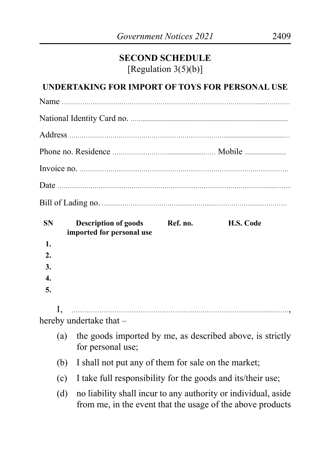# **SECOND SCHEDULE** [Regulation 3(5)(b)]

#### **UNDERTAKING FOR IMPORT OF TOYS FOR PERSONAL USE**

| <b>SN</b>        |     | <b>Description of goods</b><br>imported for personal use                                                                     | Ref. no. | H.S. Code |  |
|------------------|-----|------------------------------------------------------------------------------------------------------------------------------|----------|-----------|--|
| 1.               |     |                                                                                                                              |          |           |  |
| 2.               |     |                                                                                                                              |          |           |  |
| 3.               |     |                                                                                                                              |          |           |  |
| $\overline{4}$ . |     |                                                                                                                              |          |           |  |
| 5.               |     |                                                                                                                              |          |           |  |
|                  | I.  |                                                                                                                              |          |           |  |
|                  |     | hereby undertake that -                                                                                                      |          |           |  |
|                  | (a) | the goods imported by me, as described above, is strictly<br>for personal use;                                               |          |           |  |
|                  | (b) | I shall not put any of them for sale on the market;                                                                          |          |           |  |
|                  | (c) | I take full responsibility for the goods and its/their use;                                                                  |          |           |  |
|                  | (d) | no liability shall incur to any authority or individual, aside<br>from me, in the event that the usage of the above products |          |           |  |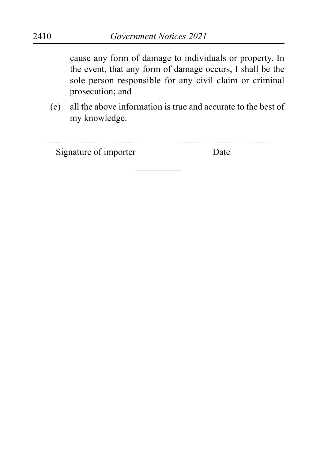cause any form of damage to individuals or property. In the event, that any form of damage occurs, I shall be the sole person responsible for any civil claim or criminal prosecution; and

(e) all the above information is true and accurate to the best of my knowledge.

| Signature of importer | l )ate |
|-----------------------|--------|

––––––––––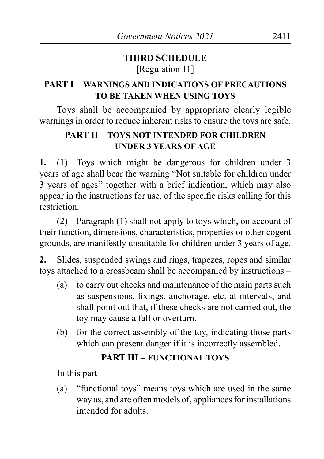# **THIRD SCHEDULE** [Regulation 11]

# **PART I – WARNINGS AND INDICATIONS OF PRECAUTIONS TO BE TAKEN WHEN USING TOYS**

Toys shall be accompanied by appropriate clearly legible warnings in order to reduce inherent risks to ensure the toys are safe.

## **PART II – TOYS NOT INTENDED FOR CHILDREN UNDER 3 YEARS OF AGE**

**1.** (1) Toys which might be dangerous for children under 3 years of age shall bear the warning "Not suitable for children under 3 years of ages'' together with a brief indication, which may also appear in the instructions for use, of the specific risks calling for this restriction.

(2) Paragraph  $(1)$  shall not apply to toys which, on account of their function, dimensions, characteristics, properties or other cogent grounds, are manifestly unsuitable for children under 3 years of age.

**2.** Slides, suspended swings and rings, trapezes, ropes and similar toys attached to a crossbeam shall be accompanied by instructions –

- (a) to carry out checks and maintenance of the main parts such as suspensions, fixings, anchorage, etc. at intervals, and shall point out that, if these checks are not carried out, the toy may cause a fall or overturn.
- (b) for the correct assembly of the toy, indicating those parts which can present danger if it is incorrectly assembled.

### **PART III – FUNCTIONAL TOYS**

In this part  $-$ 

(a) "functional toys" means toys which are used in the same way as, and are often models of, appliances for installations intended for adults.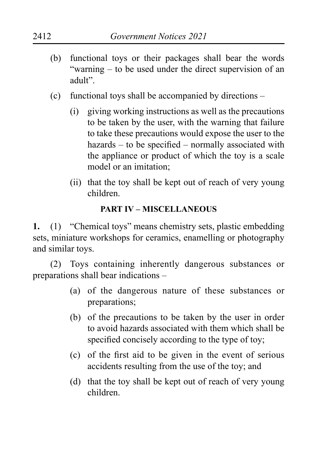- (b) functional toys or their packages shall bear the words "warning – to be used under the direct supervision of an adult".
- (c) functional toys shall be accompanied by directions
	- (i) giving working instructions as well as the precautions to be taken by the user, with the warning that failure to take these precautions would expose the user to the hazards – to be specified – normally associated with the appliance or product of which the toy is a scale model or an imitation;
	- (ii) that the toy shall be kept out of reach of very young children.

#### **PART IV – MISCELLANEOUS**

**1.** (1) "Chemical toys" means chemistry sets, plastic embedding sets, miniature workshops for ceramics, enamelling or photography and similar toys.

(2) Toys containing inherently dangerous substances or preparations shall bear indications –

- (a) of the dangerous nature of these substances or preparations;
- (b) of the precautions to be taken by the user in order to avoid hazards associated with them which shall be specified concisely according to the type of toy;
- (c) of the first aid to be given in the event of serious accidents resulting from the use of the toy; and
- (d) that the toy shall be kept out of reach of very young children.